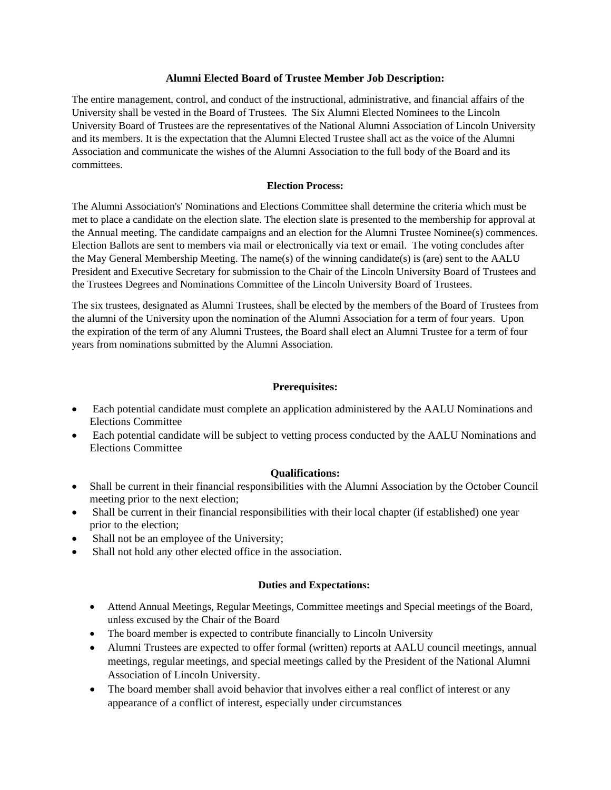#### **Alumni Elected Board of Trustee Member Job Description:**

The entire management, control, and conduct of the instructional, administrative, and financial affairs of the University shall be vested in the Board of Trustees. The Six Alumni Elected Nominees to the Lincoln University Board of Trustees are the representatives of the National Alumni Association of Lincoln University and its members. It is the expectation that the Alumni Elected Trustee shall act as the voice of the Alumni Association and communicate the wishes of the Alumni Association to the full body of the Board and its committees.

#### **Election Process:**

The Alumni Association's' Nominations and Elections Committee shall determine the criteria which must be met to place a candidate on the election slate. The election slate is presented to the membership for approval at the Annual meeting. The candidate campaigns and an election for the Alumni Trustee Nominee(s) commences. Election Ballots are sent to members via mail or electronically via text or email. The voting concludes after the May General Membership Meeting. The name(s) of the winning candidate(s) is (are) sent to the AALU President and Executive Secretary for submission to the Chair of the Lincoln University Board of Trustees and the Trustees Degrees and Nominations Committee of the Lincoln University Board of Trustees.

The six trustees, designated as Alumni Trustees, shall be elected by the members of the Board of Trustees from the alumni of the University upon the nomination of the Alumni Association for a term of four years. Upon the expiration of the term of any Alumni Trustees, the Board shall elect an Alumni Trustee for a term of four years from nominations submitted by the Alumni Association.

## **Prerequisites:**

- Each potential candidate must complete an application administered by the AALU Nominations and Elections Committee
- Each potential candidate will be subject to vetting process conducted by the AALU Nominations and Elections Committee

### **Qualifications:**

- Shall be current in their financial responsibilities with the Alumni Association by the October Council meeting prior to the next election;
- Shall be current in their financial responsibilities with their local chapter (if established) one year prior to the election;
- Shall not be an employee of the University;
- Shall not hold any other elected office in the association.

#### **Duties and Expectations:**

- Attend Annual Meetings, Regular Meetings, Committee meetings and Special meetings of the Board, unless excused by the Chair of the Board
- The board member is expected to contribute financially to Lincoln University
- Alumni Trustees are expected to offer formal (written) reports at AALU council meetings, annual meetings, regular meetings, and special meetings called by the President of the National Alumni Association of Lincoln University.
- The board member shall avoid behavior that involves either a real conflict of interest or any appearance of a conflict of interest, especially under circumstances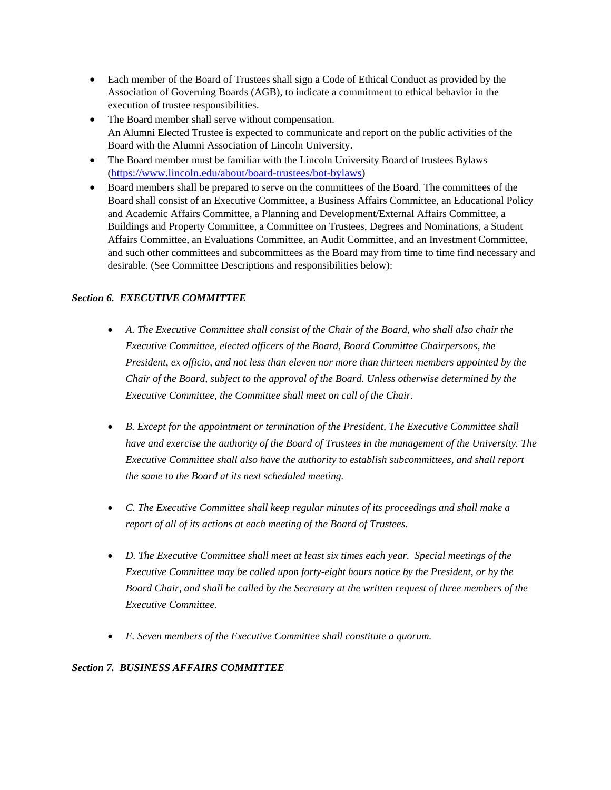- Each member of the Board of Trustees shall sign a Code of Ethical Conduct as provided by the Association of Governing Boards (AGB), to indicate a commitment to ethical behavior in the execution of trustee responsibilities.
- The Board member shall serve without compensation. An Alumni Elected Trustee is expected to communicate and report on the public activities of the Board with the Alumni Association of Lincoln University.
- The Board member must be familiar with the Lincoln University Board of trustees Bylaws (https://www.lincoln.edu/about/board-trustees/bot-bylaws)
- Board members shall be prepared to serve on the committees of the Board. The committees of the Board shall consist of an Executive Committee, a Business Affairs Committee, an Educational Policy and Academic Affairs Committee, a Planning and Development/External Affairs Committee, a Buildings and Property Committee, a Committee on Trustees, Degrees and Nominations, a Student Affairs Committee, an Evaluations Committee, an Audit Committee, and an Investment Committee, and such other committees and subcommittees as the Board may from time to time find necessary and desirable. (See Committee Descriptions and responsibilities below):

## *Section 6. EXECUTIVE COMMITTEE*

- *A. The Executive Committee shall consist of the Chair of the Board, who shall also chair the Executive Committee, elected officers of the Board, Board Committee Chairpersons, the President, ex officio, and not less than eleven nor more than thirteen members appointed by the Chair of the Board, subject to the approval of the Board. Unless otherwise determined by the Executive Committee, the Committee shall meet on call of the Chair.*
- *B. Except for the appointment or termination of the President, The Executive Committee shall have and exercise the authority of the Board of Trustees in the management of the University. The Executive Committee shall also have the authority to establish subcommittees, and shall report the same to the Board at its next scheduled meeting.*
- *C. The Executive Committee shall keep regular minutes of its proceedings and shall make a report of all of its actions at each meeting of the Board of Trustees.*
- *D. The Executive Committee shall meet at least six times each year. Special meetings of the Executive Committee may be called upon forty-eight hours notice by the President, or by the Board Chair, and shall be called by the Secretary at the written request of three members of the Executive Committee.*
- *E. Seven members of the Executive Committee shall constitute a quorum.*

### *Section 7. BUSINESS AFFAIRS COMMITTEE*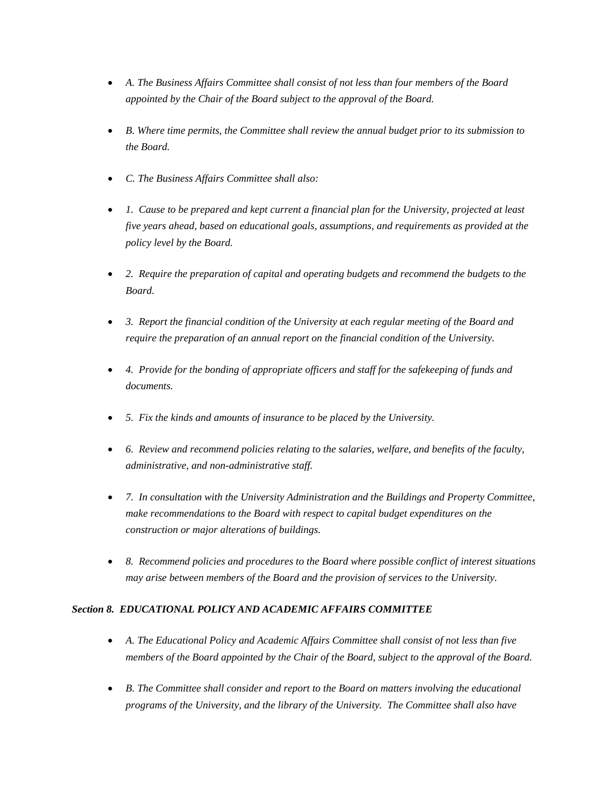- *A. The Business Affairs Committee shall consist of not less than four members of the Board appointed by the Chair of the Board subject to the approval of the Board.*
- *B. Where time permits, the Committee shall review the annual budget prior to its submission to the Board.*
- *C. The Business Affairs Committee shall also:*
- *1. Cause to be prepared and kept current a financial plan for the University, projected at least five years ahead, based on educational goals, assumptions, and requirements as provided at the policy level by the Board.*
- *2. Require the preparation of capital and operating budgets and recommend the budgets to the Board.*
- *3. Report the financial condition of the University at each regular meeting of the Board and require the preparation of an annual report on the financial condition of the University.*
- *4. Provide for the bonding of appropriate officers and staff for the safekeeping of funds and documents.*
- *5. Fix the kinds and amounts of insurance to be placed by the University.*
- *6. Review and recommend policies relating to the salaries, welfare, and benefits of the faculty, administrative, and non-administrative staff.*
- *7. In consultation with the University Administration and the Buildings and Property Committee, make recommendations to the Board with respect to capital budget expenditures on the construction or major alterations of buildings.*
- *8. Recommend policies and procedures to the Board where possible conflict of interest situations may arise between members of the Board and the provision of services to the University.*

# *Section 8. EDUCATIONAL POLICY AND ACADEMIC AFFAIRS COMMITTEE*

- *A. The Educational Policy and Academic Affairs Committee shall consist of not less than five members of the Board appointed by the Chair of the Board, subject to the approval of the Board.*
- *B. The Committee shall consider and report to the Board on matters involving the educational programs of the University, and the library of the University. The Committee shall also have*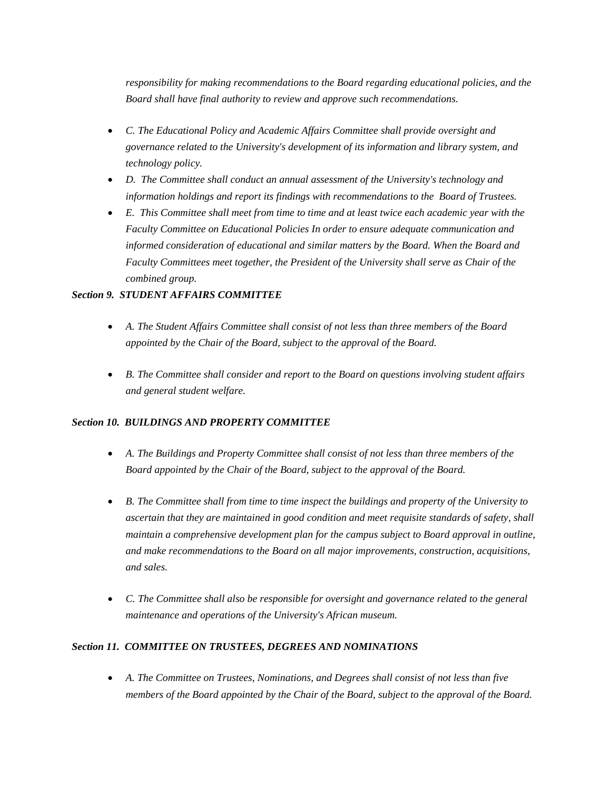*responsibility for making recommendations to the Board regarding educational policies, and the Board shall have final authority to review and approve such recommendations.*

- *C. The Educational Policy and Academic Affairs Committee shall provide oversight and governance related to the University's development of its information and library system, and technology policy.*
- *D. The Committee shall conduct an annual assessment of the University's technology and information holdings and report its findings with recommendations to the Board of Trustees.*
- *E. This Committee shall meet from time to time and at least twice each academic year with the Faculty Committee on Educational Policies In order to ensure adequate communication and informed consideration of educational and similar matters by the Board. When the Board and Faculty Committees meet together, the President of the University shall serve as Chair of the combined group.*

### *Section 9. STUDENT AFFAIRS COMMITTEE*

- *A. The Student Affairs Committee shall consist of not less than three members of the Board appointed by the Chair of the Board, subject to the approval of the Board.*
- *B. The Committee shall consider and report to the Board on questions involving student affairs and general student welfare.*

### *Section 10. BUILDINGS AND PROPERTY COMMITTEE*

- *A. The Buildings and Property Committee shall consist of not less than three members of the Board appointed by the Chair of the Board, subject to the approval of the Board.*
- *B. The Committee shall from time to time inspect the buildings and property of the University to ascertain that they are maintained in good condition and meet requisite standards of safety, shall maintain a comprehensive development plan for the campus subject to Board approval in outline, and make recommendations to the Board on all major improvements, construction, acquisitions, and sales.*
- *C. The Committee shall also be responsible for oversight and governance related to the general maintenance and operations of the University's African museum.*

### *Section 11. COMMITTEE ON TRUSTEES, DEGREES AND NOMINATIONS*

• *A. The Committee on Trustees, Nominations, and Degrees shall consist of not less than five members of the Board appointed by the Chair of the Board, subject to the approval of the Board.*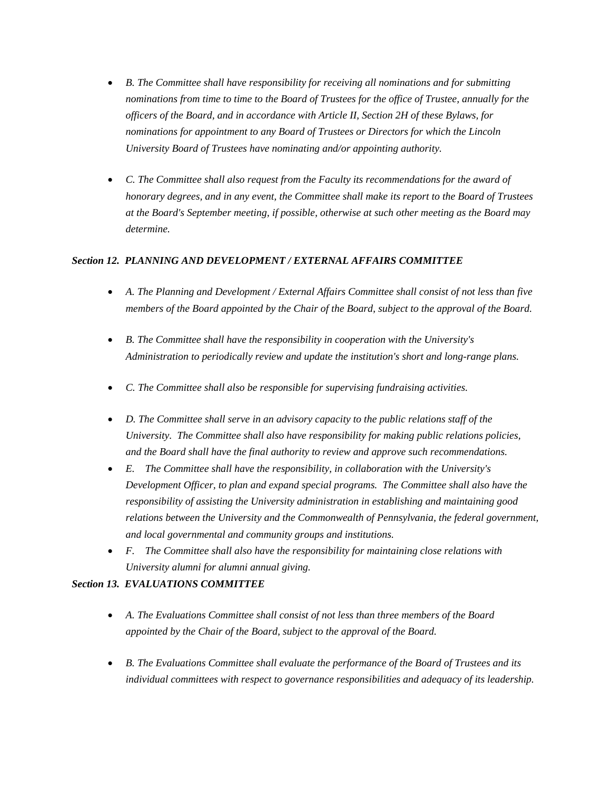- *B. The Committee shall have responsibility for receiving all nominations and for submitting nominations from time to time to the Board of Trustees for the office of Trustee, annually for the officers of the Board, and in accordance with Article II, Section 2H of these Bylaws, for nominations for appointment to any Board of Trustees or Directors for which the Lincoln University Board of Trustees have nominating and/or appointing authority.*
- *C. The Committee shall also request from the Faculty its recommendations for the award of honorary degrees, and in any event, the Committee shall make its report to the Board of Trustees at the Board's September meeting, if possible, otherwise at such other meeting as the Board may determine.*

### *Section 12. PLANNING AND DEVELOPMENT / EXTERNAL AFFAIRS COMMITTEE*

- *A. The Planning and Development / External Affairs Committee shall consist of not less than five members of the Board appointed by the Chair of the Board, subject to the approval of the Board.*
- *B. The Committee shall have the responsibility in cooperation with the University's Administration to periodically review and update the institution's short and long-range plans.*
- *C. The Committee shall also be responsible for supervising fundraising activities.*
- *D. The Committee shall serve in an advisory capacity to the public relations staff of the University. The Committee shall also have responsibility for making public relations policies, and the Board shall have the final authority to review and approve such recommendations.*
- *E. The Committee shall have the responsibility, in collaboration with the University's Development Officer, to plan and expand special programs. The Committee shall also have the responsibility of assisting the University administration in establishing and maintaining good relations between the University and the Commonwealth of Pennsylvania, the federal government, and local governmental and community groups and institutions.*
- *F. The Committee shall also have the responsibility for maintaining close relations with University alumni for alumni annual giving.*

### *Section 13. EVALUATIONS COMMITTEE*

- *A. The Evaluations Committee shall consist of not less than three members of the Board appointed by the Chair of the Board, subject to the approval of the Board.*
- *B. The Evaluations Committee shall evaluate the performance of the Board of Trustees and its individual committees with respect to governance responsibilities and adequacy of its leadership.*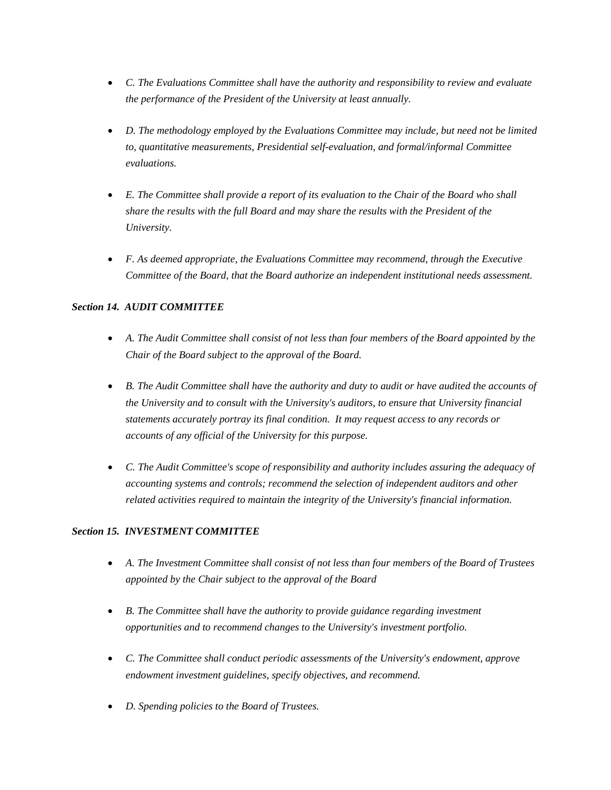- *C. The Evaluations Committee shall have the authority and responsibility to review and evaluate the performance of the President of the University at least annually.*
- *D. The methodology employed by the Evaluations Committee may include, but need not be limited to, quantitative measurements, Presidential self-evaluation, and formal/informal Committee evaluations.*
- *E. The Committee shall provide a report of its evaluation to the Chair of the Board who shall share the results with the full Board and may share the results with the President of the University.*
- *F. As deemed appropriate, the Evaluations Committee may recommend, through the Executive Committee of the Board, that the Board authorize an independent institutional needs assessment.*

# *Section 14. AUDIT COMMITTEE*

- *A. The Audit Committee shall consist of not less than four members of the Board appointed by the Chair of the Board subject to the approval of the Board.*
- *B. The Audit Committee shall have the authority and duty to audit or have audited the accounts of the University and to consult with the University's auditors, to ensure that University financial statements accurately portray its final condition. It may request access to any records or accounts of any official of the University for this purpose.*
- *C. The Audit Committee's scope of responsibility and authority includes assuring the adequacy of accounting systems and controls; recommend the selection of independent auditors and other related activities required to maintain the integrity of the University's financial information.*

# *Section 15. INVESTMENT COMMITTEE*

- *A. The Investment Committee shall consist of not less than four members of the Board of Trustees appointed by the Chair subject to the approval of the Board*
- *B. The Committee shall have the authority to provide guidance regarding investment opportunities and to recommend changes to the University's investment portfolio.*
- *C. The Committee shall conduct periodic assessments of the University's endowment, approve endowment investment guidelines, specify objectives, and recommend.*
- *D. Spending policies to the Board of Trustees.*